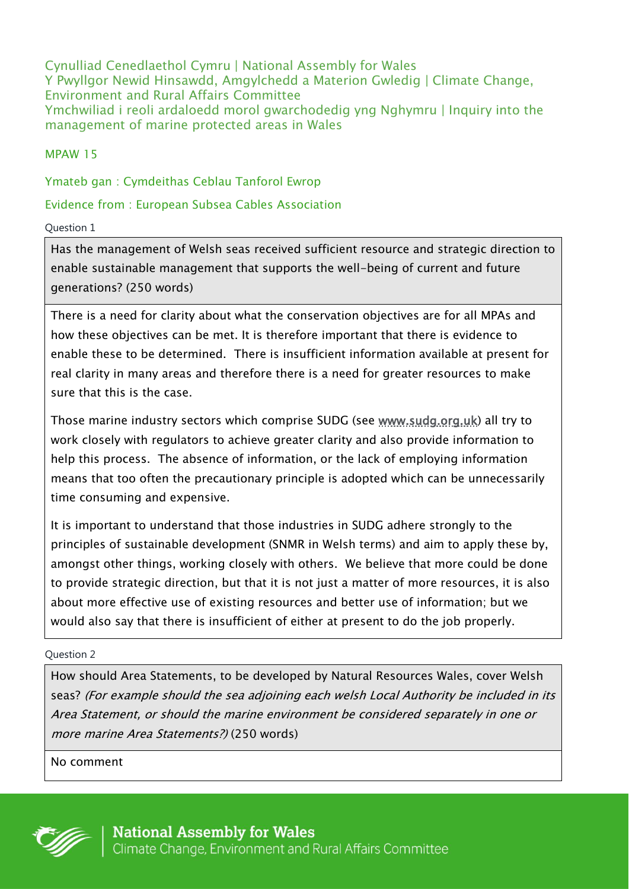Cynulliad Cenedlaethol Cymru | National Assembly for Wales Y Pwyllgor Newid Hinsawdd, Amgylchedd a Materion Gwledig | Climate Change, Environment and Rural Affairs Committee Ymchwiliad i reoli ardaloedd morol gwarchodedig yng Nghymru | Inquiry into the management of marine protected areas in Wales

MPAW 15

Ymateb gan : Cymdeithas Ceblau Tanforol Ewrop

# Evidence from : European Subsea Cables Association

## Question 1

Has the management of Welsh seas received sufficient resource and strategic direction to enable sustainable management that supports the well-being of current and future generations? (250 words)

There is a need for clarity about what the conservation objectives are for all MPAs and how these objectives can be met. It is therefore important that there is evidence to enable these to be determined. There is insufficient information available at present for real clarity in many areas and therefore there is a need for greater resources to make sure that this is the case.

Those marine industry sectors which comprise SUDG (see [www.sudg.org.uk\)](http://www.sudg.org.uk/) all try to work closely with regulators to achieve greater clarity and also provide information to help this process. The absence of information, or the lack of employing information means that too often the precautionary principle is adopted which can be unnecessarily time consuming and expensive.

It is important to understand that those industries in SUDG adhere strongly to the principles of sustainable development (SNMR in Welsh terms) and aim to apply these by, amongst other things, working closely with others. We believe that more could be done to provide strategic direction, but that it is not just a matter of more resources, it is also about more effective use of existing resources and better use of information; but we would also say that there is insufficient of either at present to do the job properly.

## Question 2

How should Area Statements, to be developed by Natural Resources Wales, cover Welsh seas? (For example should the sea adjoining each welsh Local Authority be included in its Area Statement, or should the marine environment be considered separately in one or more marine Area Statements?) (250 words)

No comment

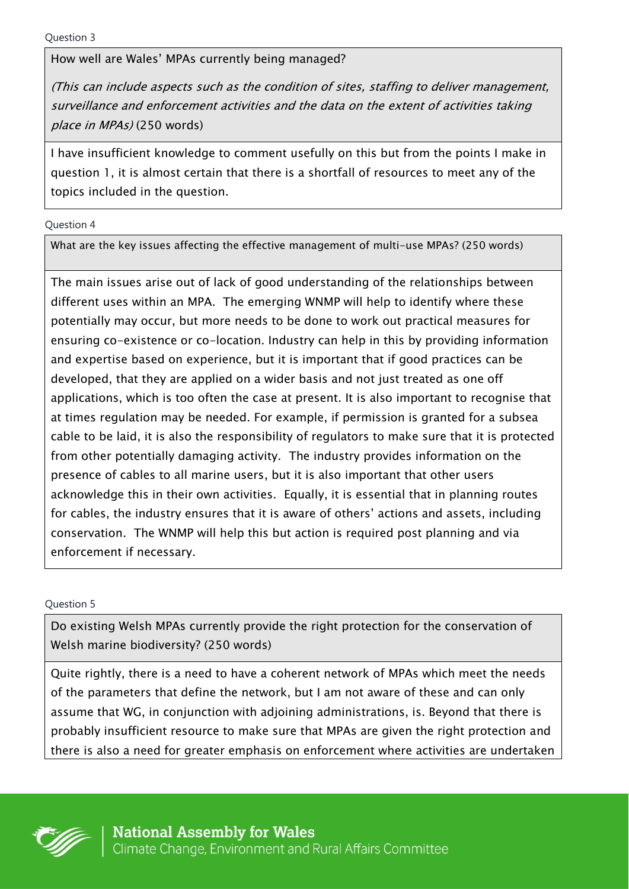How well are Wales' MPAs currently being managed?

(This can include aspects such as the condition of sites, staffing to deliver management, surveillance and enforcement activities and the data on the extent of activities taking place in MPAs) (250 words)

I have insufficient knowledge to comment usefully on this but from the points I make in question 1, it is almost certain that there is a shortfall of resources to meet any of the topics included in the question.

Question 4

What are the key issues affecting the effective management of multi-use MPAs? (250 words)

The main issues arise out of lack of good understanding of the relationships between different uses within an MPA. The emerging WNMP will help to identify where these potentially may occur, but more needs to be done to work out practical measures for ensuring co-existence or co-location. Industry can help in this by providing information and expertise based on experience, but it is important that if good practices can be developed, that they are applied on a wider basis and not just treated as one off applications, which is too often the case at present. It is also important to recognise that at times regulation may be needed. For example, if permission is granted for a subsea cable to be laid, it is also the responsibility of regulators to make sure that it is protected from other potentially damaging activity. The industry provides information on the presence of cables to all marine users, but it is also important that other users acknowledge this in their own activities. Equally, it is essential that in planning routes for cables, the industry ensures that it is aware of others' actions and assets, including conservation. The WNMP will help this but action is required post planning and via enforcement if necessary.

Question 5

Do existing Welsh MPAs currently provide the right protection for the conservation of Welsh marine biodiversity? (250 words)

Quite rightly, there is a need to have a coherent network of MPAs which meet the needs of the parameters that define the network, but I am not aware of these and can only assume that WG, in conjunction with adjoining administrations, is. Beyond that there is probably insufficient resource to make sure that MPAs are given the right protection and there is also a need for greater emphasis on enforcement where activities are undertaken

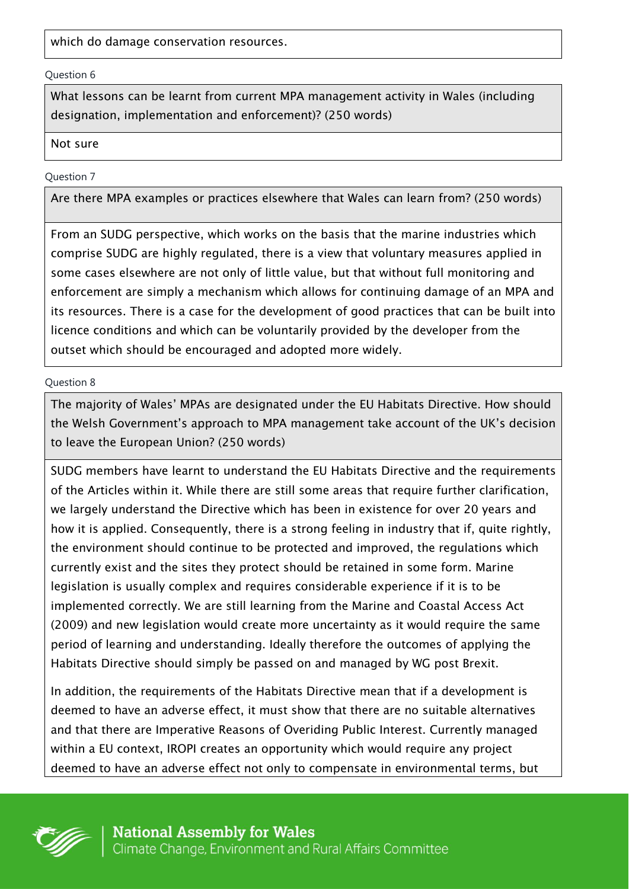which do damage conservation resources.

#### Question 6

What lessons can be learnt from current MPA management activity in Wales (including designation, implementation and enforcement)? (250 words)

## Not sure

## Question 7

Are there MPA examples or practices elsewhere that Wales can learn from? (250 words)

From an SUDG perspective, which works on the basis that the marine industries which comprise SUDG are highly regulated, there is a view that voluntary measures applied in some cases elsewhere are not only of little value, but that without full monitoring and enforcement are simply a mechanism which allows for continuing damage of an MPA and its resources. There is a case for the development of good practices that can be built into licence conditions and which can be voluntarily provided by the developer from the outset which should be encouraged and adopted more widely.

Question 8

The majority of Wales' MPAs are designated under the EU Habitats Directive. How should the Welsh Government's approach to MPA management take account of the UK's decision to leave the European Union? (250 words)

SUDG members have learnt to understand the EU Habitats Directive and the requirements of the Articles within it. While there are still some areas that require further clarification, we largely understand the Directive which has been in existence for over 20 years and how it is applied. Consequently, there is a strong feeling in industry that if, quite rightly, the environment should continue to be protected and improved, the regulations which currently exist and the sites they protect should be retained in some form. Marine legislation is usually complex and requires considerable experience if it is to be implemented correctly. We are still learning from the Marine and Coastal Access Act (2009) and new legislation would create more uncertainty as it would require the same period of learning and understanding. Ideally therefore the outcomes of applying the Habitats Directive should simply be passed on and managed by WG post Brexit.

In addition, the requirements of the Habitats Directive mean that if a development is deemed to have an adverse effect, it must show that there are no suitable alternatives and that there are Imperative Reasons of Overiding Public Interest. Currently managed within a EU context, IROPI creates an opportunity which would require any project deemed to have an adverse effect not only to compensate in environmental terms, but